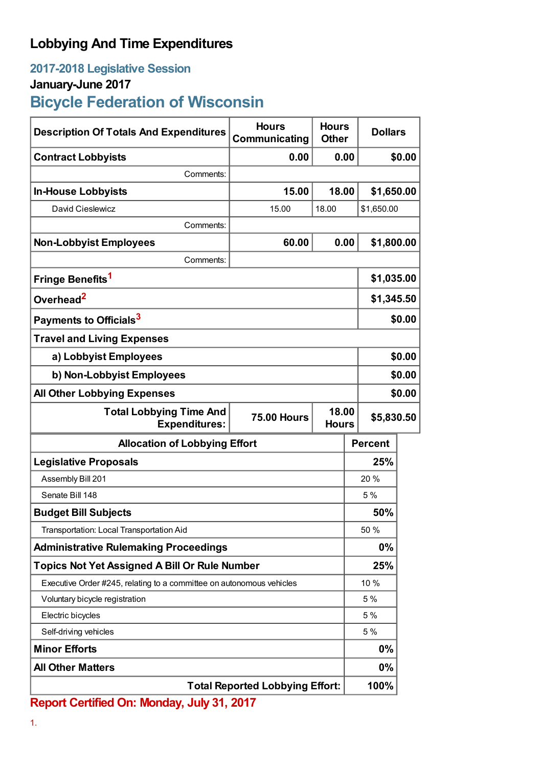## **Lobbying And Time Expenditures**

## **2017-2018 Legislative Session**

## **January-June 2017**

**Bicycle Federation of Wisconsin**

| <b>Description Of Totals And Expenditures</b>                                                         | <b>Hours</b><br>Communicating | <b>Hours</b><br><b>Other</b> | <b>Dollars</b> |        |  |
|-------------------------------------------------------------------------------------------------------|-------------------------------|------------------------------|----------------|--------|--|
| <b>Contract Lobbyists</b>                                                                             | 0.00                          | 0.00                         |                | \$0.00 |  |
| Comments:                                                                                             |                               |                              |                |        |  |
| <b>In-House Lobbyists</b>                                                                             | 15.00                         | 18.00                        | \$1,650.00     |        |  |
| David Cieslewicz                                                                                      | 15.00                         | 18.00                        | \$1,650.00     |        |  |
| Comments:                                                                                             |                               |                              |                |        |  |
| <b>Non-Lobbyist Employees</b>                                                                         | 60.00                         | 0.00                         | \$1,800.00     |        |  |
| Comments:                                                                                             |                               |                              |                |        |  |
| Fringe Benefits <sup>1</sup>                                                                          |                               |                              | \$1,035.00     |        |  |
| Overhead <sup>2</sup>                                                                                 |                               |                              | \$1,345.50     |        |  |
| Payments to Officials <sup>3</sup>                                                                    |                               |                              | \$0.00         |        |  |
| <b>Travel and Living Expenses</b>                                                                     |                               |                              |                |        |  |
| a) Lobbyist Employees                                                                                 |                               |                              |                | \$0.00 |  |
| b) Non-Lobbyist Employees                                                                             |                               |                              |                | \$0.00 |  |
| <b>All Other Lobbying Expenses</b>                                                                    |                               |                              |                | \$0.00 |  |
| 18.00<br><b>Total Lobbying Time And</b><br><b>75.00 Hours</b><br><b>Expenditures:</b><br><b>Hours</b> |                               |                              | \$5,830.50     |        |  |
| <b>Allocation of Lobbying Effort</b>                                                                  |                               |                              | <b>Percent</b> |        |  |
| <b>Legislative Proposals</b>                                                                          |                               |                              | 25%            |        |  |
| Assembly Bill 201                                                                                     |                               |                              | 20 %           |        |  |
| Senate Bill 148                                                                                       |                               |                              | 5%             |        |  |
| <b>Budget Bill Subjects</b>                                                                           |                               |                              | 50%            |        |  |
| Transportation: Local Transportation Aid                                                              |                               |                              | 50 %           |        |  |
| <b>Administrative Rulemaking Proceedings</b>                                                          |                               |                              | $0\%$          |        |  |
| <b>Topics Not Yet Assigned A Bill Or Rule Number</b>                                                  |                               |                              | 25%            |        |  |
| Executive Order #245, relating to a committee on autonomous vehicles                                  |                               |                              | 10 %           |        |  |
| Voluntary bicycle registration                                                                        |                               |                              | 5 %            |        |  |
| Electric bicycles                                                                                     |                               |                              | 5%             |        |  |
| Self-driving vehicles                                                                                 |                               |                              | 5%             |        |  |
| <b>Minor Efforts</b>                                                                                  |                               |                              | $0\%$          |        |  |
| <b>All Other Matters</b>                                                                              |                               |                              | $0\%$          |        |  |
| <b>Total Reported Lobbying Effort:</b>                                                                |                               |                              | 100%           |        |  |

**Report Certified On: Monday, July 31, 2017**